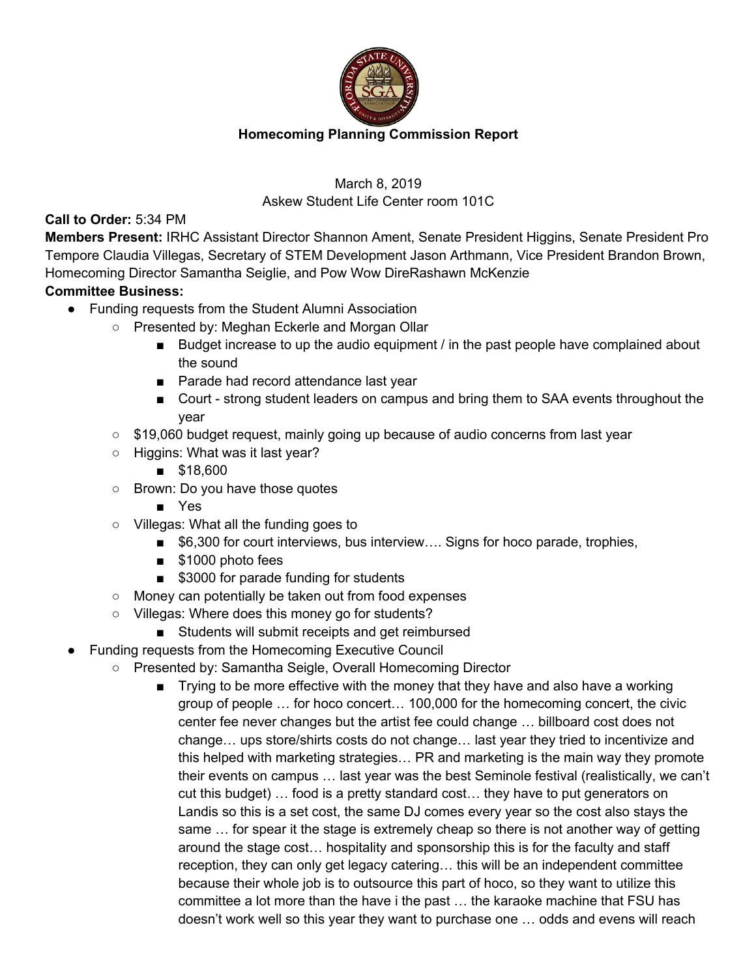

# March 8, 2019 Askew Student Life Center room 101C

### **Call to Order:** 5:34 PM

**Members Present:** IRHC Assistant Director Shannon Ament, Senate President Higgins, Senate President Pro Tempore Claudia Villegas, Secretary of STEM Development Jason Arthmann, Vice President Brandon Brown, Homecoming Director Samantha Seiglie, and Pow Wow DireRashawn McKenzie

## **Committee Business:**

- Funding requests from the Student Alumni Association
	- Presented by: Meghan Eckerle and Morgan Ollar
		- Budget increase to up the audio equipment / in the past people have complained about the sound
		- Parade had record attendance last year
		- Court strong student leaders on campus and bring them to SAA events throughout the year
	- $\circ$  \$19,060 budget request, mainly going up because of audio concerns from last year
	- Higgins: What was it last year?
		- \$18,600
	- Brown: Do you have those quotes
		- Yes
	- Villegas: What all the funding goes to
		- \$6,300 for court interviews, bus interview.... Signs for hoco parade, trophies,
		- \$1000 photo fees
		- \$3000 for parade funding for students
	- Money can potentially be taken out from food expenses
	- Villegas: Where does this money go for students?
		- Students will submit receipts and get reimbursed
- Funding requests from the Homecoming Executive Council
	- Presented by: Samantha Seigle, Overall Homecoming Director
		- Trying to be more effective with the money that they have and also have a working group of people … for hoco concert… 100,000 for the homecoming concert, the civic center fee never changes but the artist fee could change … billboard cost does not change… ups store/shirts costs do not change… last year they tried to incentivize and this helped with marketing strategies… PR and marketing is the main way they promote their events on campus … last year was the best Seminole festival (realistically, we can't cut this budget) … food is a pretty standard cost… they have to put generators on Landis so this is a set cost, the same DJ comes every year so the cost also stays the same … for spear it the stage is extremely cheap so there is not another way of getting around the stage cost… hospitality and sponsorship this is for the faculty and staff reception, they can only get legacy catering… this will be an independent committee because their whole job is to outsource this part of hoco, so they want to utilize this committee a lot more than the have i the past … the karaoke machine that FSU has doesn't work well so this year they want to purchase one … odds and evens will reach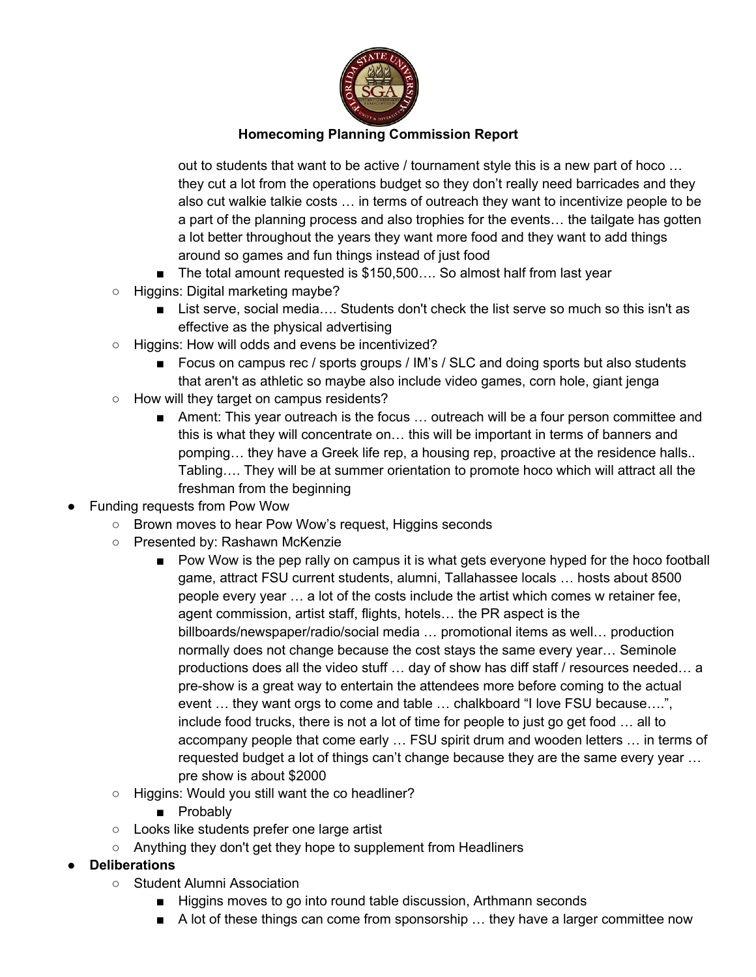

out to students that want to be active / tournament style this is a new part of hoco … they cut a lot from the operations budget so they don't really need barricades and they also cut walkie talkie costs … in terms of outreach they want to incentivize people to be a part of the planning process and also trophies for the events… the tailgate has gotten a lot better throughout the years they want more food and they want to add things around so games and fun things instead of just food

- The total amount requested is \$150,500.... So almost half from last year
- Higgins: Digital marketing maybe?
	- List serve, social media.... Students don't check the list serve so much so this isn't as effective as the physical advertising
- Higgins: How will odds and evens be incentivized?
	- Focus on campus rec / sports groups / IM's / SLC and doing sports but also students that aren't as athletic so maybe also include video games, corn hole, giant jenga
- How will they target on campus residents?
	- Ament: This year outreach is the focus ... outreach will be a four person committee and this is what they will concentrate on… this will be important in terms of banners and pomping… they have a Greek life rep, a housing rep, proactive at the residence halls.. Tabling…. They will be at summer orientation to promote hoco which will attract all the freshman from the beginning
- Funding requests from Pow Wow
	- Brown moves to hear Pow Wow's request, Higgins seconds
		- Presented by: Rashawn McKenzie
			- Pow Wow is the pep rally on campus it is what gets everyone hyped for the hoco football game, attract FSU current students, alumni, Tallahassee locals … hosts about 8500 people every year … a lot of the costs include the artist which comes w retainer fee, agent commission, artist staff, flights, hotels… the PR aspect is the billboards/newspaper/radio/social media … promotional items as well… production normally does not change because the cost stays the same every year… Seminole productions does all the video stuff … day of show has diff staff / resources needed… a pre-show is a great way to entertain the attendees more before coming to the actual event … they want orgs to come and table … chalkboard "I love FSU because….", include food trucks, there is not a lot of time for people to just go get food … all to accompany people that come early … FSU spirit drum and wooden letters … in terms of requested budget a lot of things can't change because they are the same every year … pre show is about \$2000
		- Higgins: Would you still want the co headliner?
			- Probably
		- Looks like students prefer one large artist
		- Anything they don't get they hope to supplement from Headliners
- **Deliberations** 
	- Student Alumni Association
		- Higgins moves to go into round table discussion, Arthmann seconds
		- A lot of these things can come from sponsorship ... they have a larger committee now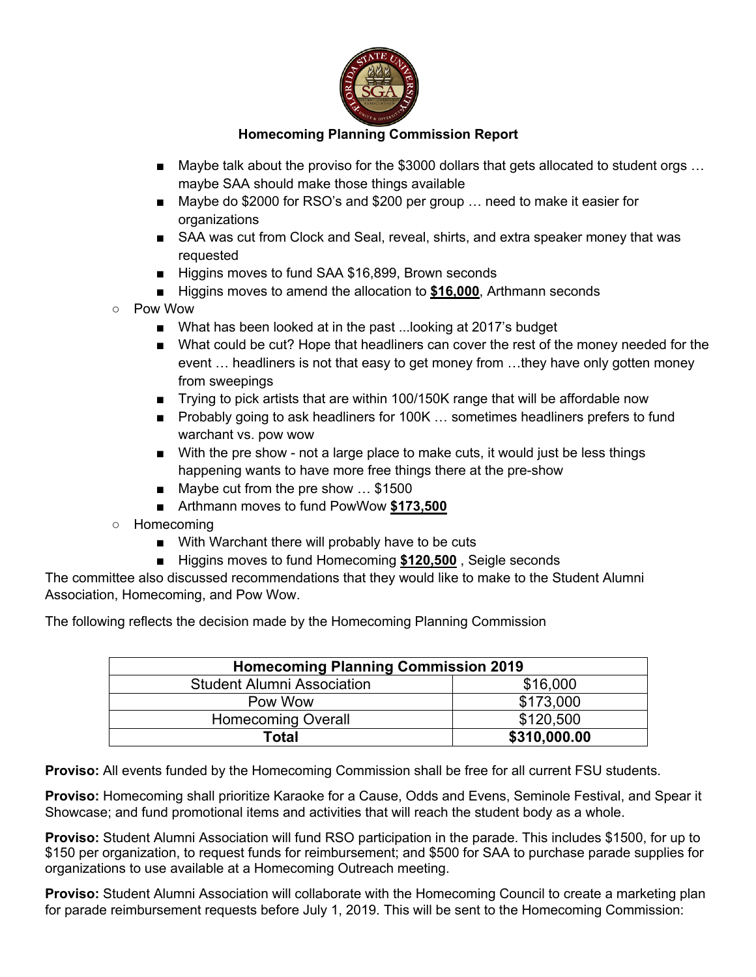

- Maybe talk about the proviso for the \$3000 dollars that gets allocated to student orgs ... maybe SAA should make those things available
- Maybe do \$2000 for RSO's and \$200 per group ... need to make it easier for organizations
- SAA was cut from Clock and Seal, reveal, shirts, and extra speaker money that was requested
- Higgins moves to fund SAA \$16,899, Brown seconds
- Higgins moves to amend the allocation to **\$16,000**, Arthmann seconds
- Pow Wow
	- What has been looked at in the past ...looking at 2017's budget
	- What could be cut? Hope that headliners can cover the rest of the money needed for the event … headliners is not that easy to get money from …they have only gotten money from sweepings
	- Trying to pick artists that are within 100/150K range that will be affordable now
	- Probably going to ask headliners for 100K ... sometimes headliners prefers to fund warchant vs. pow wow
	- With the pre show not a large place to make cuts, it would just be less things happening wants to have more free things there at the pre-show
	- Maybe cut from the pre show ... \$1500
	- Arthmann moves to fund PowWow **\$173,500**
- Homecoming
	- With Warchant there will probably have to be cuts
	- Higgins moves to fund Homecoming **\$120,500**, Seigle seconds

The committee also discussed recommendations that they would like to make to the Student Alumni Association, Homecoming, and Pow Wow.

The following reflects the decision made by the Homecoming Planning Commission

| <b>Homecoming Planning Commission 2019</b> |              |
|--------------------------------------------|--------------|
| <b>Student Alumni Association</b>          | \$16,000     |
| Pow Wow                                    | \$173,000    |
| <b>Homecoming Overall</b>                  | \$120,500    |
| Total                                      | \$310,000.00 |

**Proviso:** All events funded by the Homecoming Commission shall be free for all current FSU students.

**Proviso:** Homecoming shall prioritize Karaoke for a Cause, Odds and Evens, Seminole Festival, and Spear it Showcase; and fund promotional items and activities that will reach the student body as a whole.

**Proviso:** Student Alumni Association will fund RSO participation in the parade. This includes \$1500, for up to \$150 per organization, to request funds for reimbursement; and \$500 for SAA to purchase parade supplies for organizations to use available at a Homecoming Outreach meeting.

**Proviso:** Student Alumni Association will collaborate with the Homecoming Council to create a marketing plan for parade reimbursement requests before July 1, 2019. This will be sent to the Homecoming Commission: